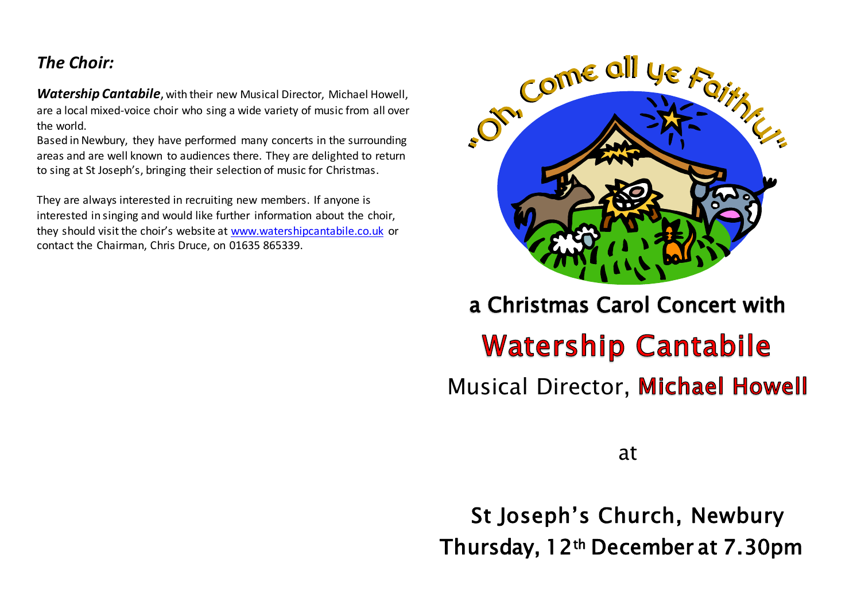## *The Choir:*

*Watership Cantabile*, with their new Musical Director, Michael Howell, are a local mixed-voice choir who sing a wide variety of music from all over the world.

Based in Newbury, they have performed many concerts in the surrounding areas and are well known to audiences there. They are delighted to return to sing at St Joseph's, bringing their selection of music for Christmas.

They are always interested in recruiting new members. If anyone is interested in singing and would like further information about the choir, they should visit the choir's website at [www.watershipcantabile.co.uk](http://www.watershipcantabile.co.uk/) or contact the Chairman, Chris Druce, on 01635 865339.



a Christmas Carol Concert with

# **Watership Cantabile**

**Musical Director, Michael Howell** 

at

St Joseph's Church, Newbury Thursday, 12th December at 7.30pm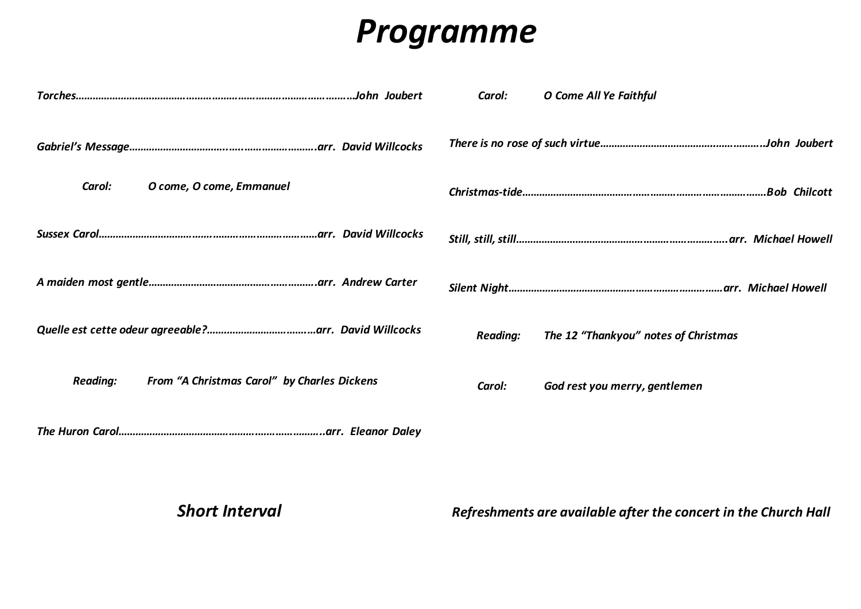## *Programme*

|                 |                                             | Carol:          | O Come All Ye Faithful               |
|-----------------|---------------------------------------------|-----------------|--------------------------------------|
|                 |                                             |                 |                                      |
| Carol:          | O come, O come, Emmanuel                    |                 |                                      |
|                 |                                             |                 |                                      |
|                 |                                             |                 |                                      |
|                 |                                             | <b>Reading:</b> | The 12 "Thankyou" notes of Christmas |
| <b>Reading:</b> | From "A Christmas Carol" by Charles Dickens | Carol:          | God rest you merry, gentlemen        |
| Tha Uuran Caral | arr Eleanor Daley                           |                 |                                      |

*The Huron Carol………………………………………….…………………..arr. Eleanor Daley*

*Short Interval*

*Refreshments are available after the concert in the Church Hall*